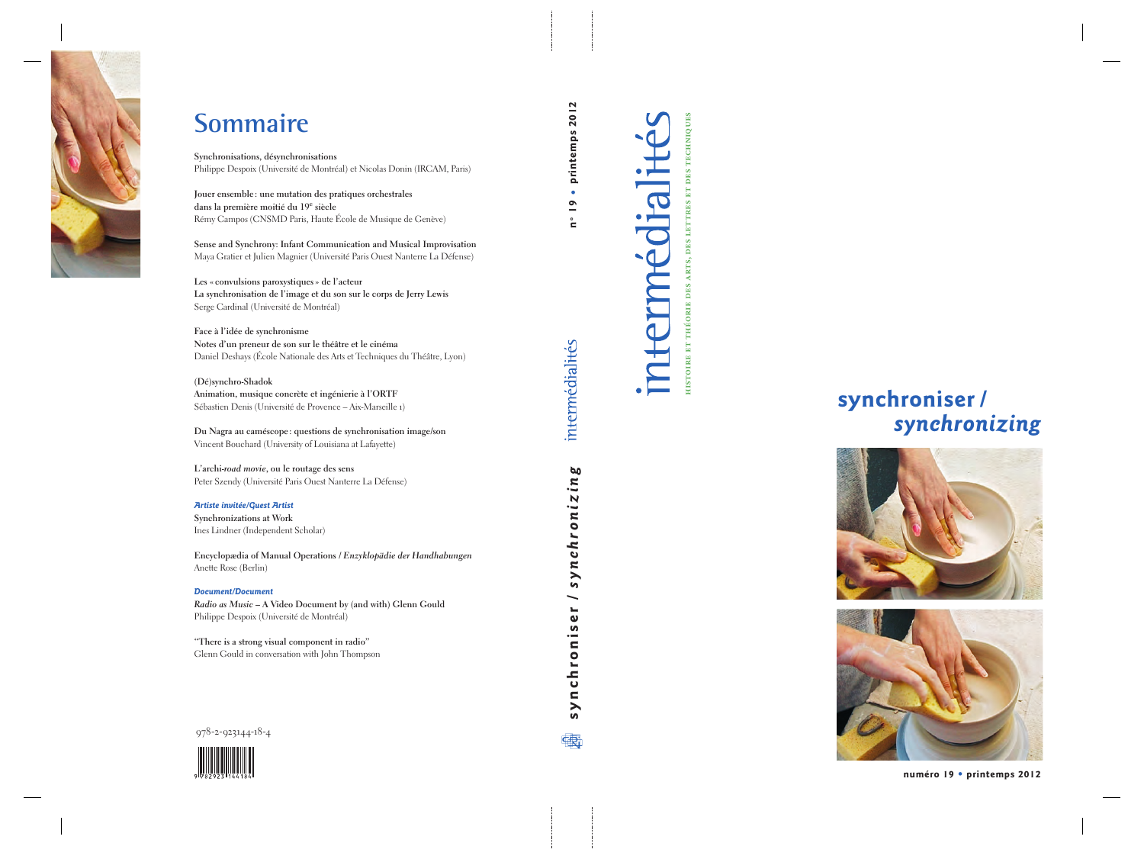

## **Sommaire**

**Synchronisations, désynchronisations** Philippe Despoix (Université de Montréal) et Nicolas Donin (IRCAM, Paris)

**Jouer ensemble : une mutation des pratiques orchestrales dans la première moitié du 19 <sup>e</sup> siècle** Rémy Campos (CNSMD Paris, Haute École de Musique de Genève)

**Sense and Synchrony: Infant Communication and Musical Improvisation** Maya Gratier et Julien Magnier (Université Paris Ouest Nanterre La Défense)

**Les « convulsions paroxystiques » de l'acteur La synchronisation de l'image et du son sur le corps de Jerry Lewis** Serge Cardinal (Université de Montréal)

**Face à l'idée de synchronisme Notes d'un preneur de son sur le théâtre et le cinéma**  Daniel Deshays (École Nationale des Arts et Techniques du Théâtre, Lyon)

**(Dé)synchro-Shadok Animation, musique concrète et ingénierie à l'ORTF** Sébastien Denis (Université de Provence – Aix-Marseille 1)

**Du Nagra au caméscope : questions de synchronisation image/son** Vincent Bouchard (University of Louisiana at Lafayette)

**L'archi-***road movie***, ou le routage des sens** Peter Szendy (Université Paris Ouest Nanterre La Défense)

#### *Artiste invitée/Guest Artist*

**Synchronizations at Work** Ines Lindner (Independent Scholar)

**Encyclopædia of Manual Operations /** *Enzyklopädie der Handhabungen* Anette Rose (Berlin)

*Document/Document Radio as Music* **– A Video Document by (and with) Glenn Gould** Philippe Despoix (Université de Montréal)

**"There is a strong visual component in radio"** Glenn Gould in conversation with John Thompson **intermédialités** synchroniser / synchronizing **synchroniser /** *synchronizing*

零

**no 19 • printemps 2012**

 $\bullet$  $\overline{a}$  $\tilde{\mathbf{c}}$ 

printemps 2012



#### **synchroniser /** *synchronizing*





**numéro 19**  • **printemps 2012**

978-2-923144-18-4

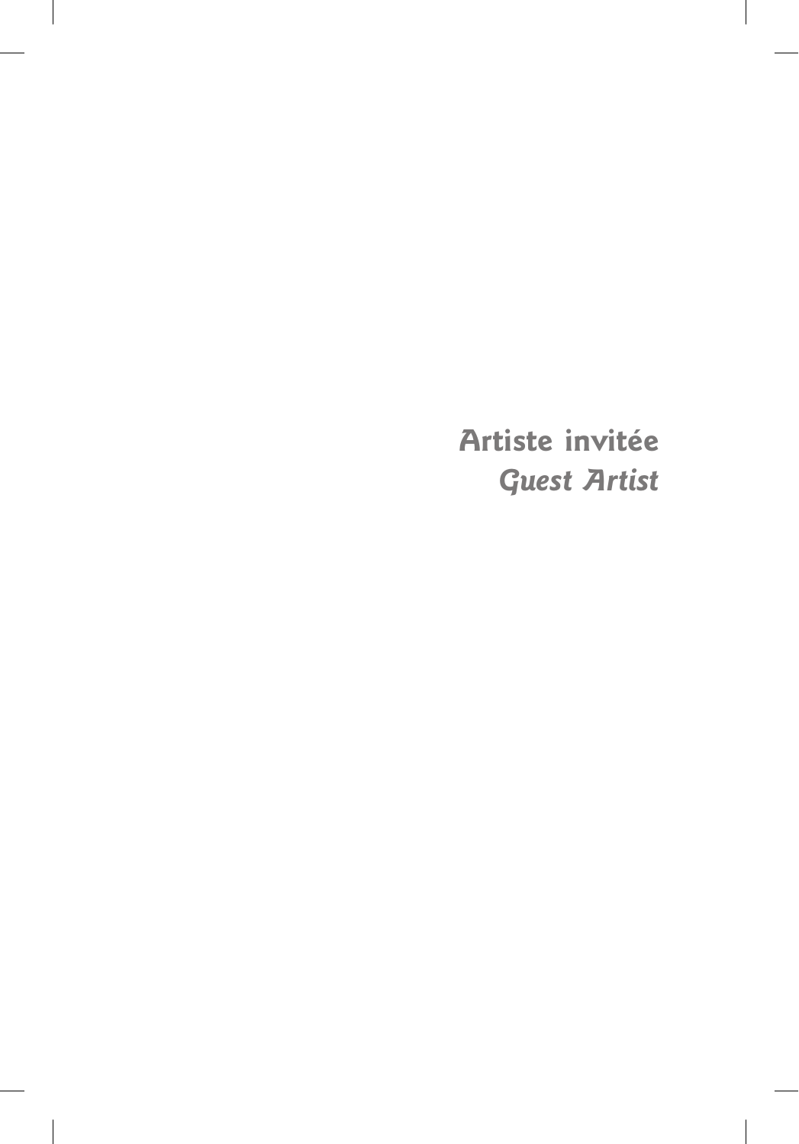**Artiste invitée** *Guest Artist*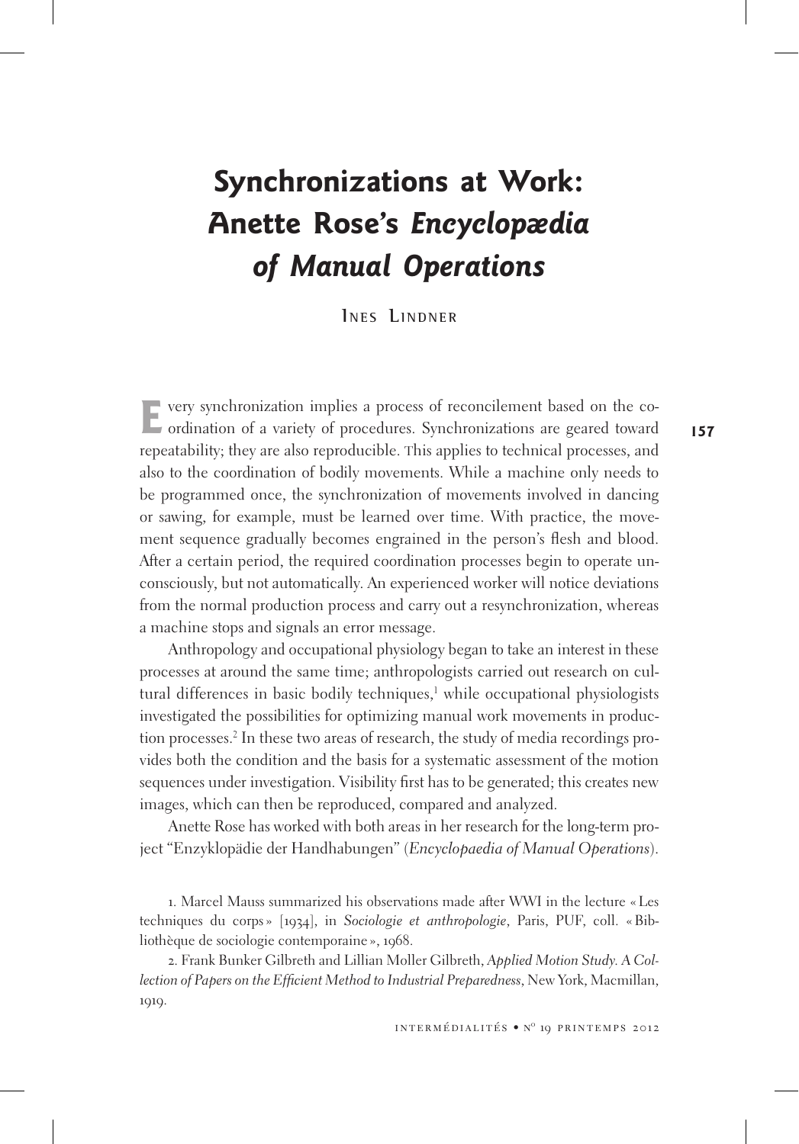### **Synchronizations at Work: Anette Rose's** *Encyclopædia of Manual Operations*

**lindner** 

**E**very synchronization implies a process of reconcilement based on the coordination of a variety of procedures. Synchronizations are geared toward repeatability; they are also reproducible. This applies to technical processes, and also to the coordination of bodily movements. While a machine only needs to be programmed once, the synchronization of movements involved in dancing or sawing, for example, must be learned over time. With practice, the movement sequence gradually becomes engrained in the person's flesh and blood. After a certain period, the required coordination processes begin to operate unconsciously, but not automatically. An experienced worker will notice deviations from the normal production process and carry out a resynchronization, whereas a machine stops and signals an error message.

Anthropology and occupational physiology began to take an interest in these processes at around the same time; anthropologists carried out research on cultural differences in basic bodily techniques,<sup>1</sup> while occupational physiologists investigated the possibilities for optimizing manual work movements in production processes.<sup>2</sup> In these two areas of research, the study of media recordings provides both the condition and the basis for a systematic assessment of the motion sequences under investigation. Visibility first has to be generated; this creates new images, which can then be reproduced, compared and analyzed.

Anette Rose has worked with both areas in her research for the long-term project "Enzyklopädie der Handhabungen" (*Encyclopaedia of Manual Operations*).

1. Marcel Mauss summarized his observations made after WWI in the lecture «Les techniques du corps » [1934], in *Sociologie et anthropologie*, Paris, PUF, coll. «Bibliothèque de sociologie contemporaine », 1968.

2. Frank Bunker Gilbreth and Lillian Moller Gilbreth, *Applied Motion Study. A Collection of Papers on the Efficient Method to Industrial Preparedness*, New York, Macmillan, 1919.

INTERMÉDIALITÉS • N° 19 PRINTEMPS 2012

**157**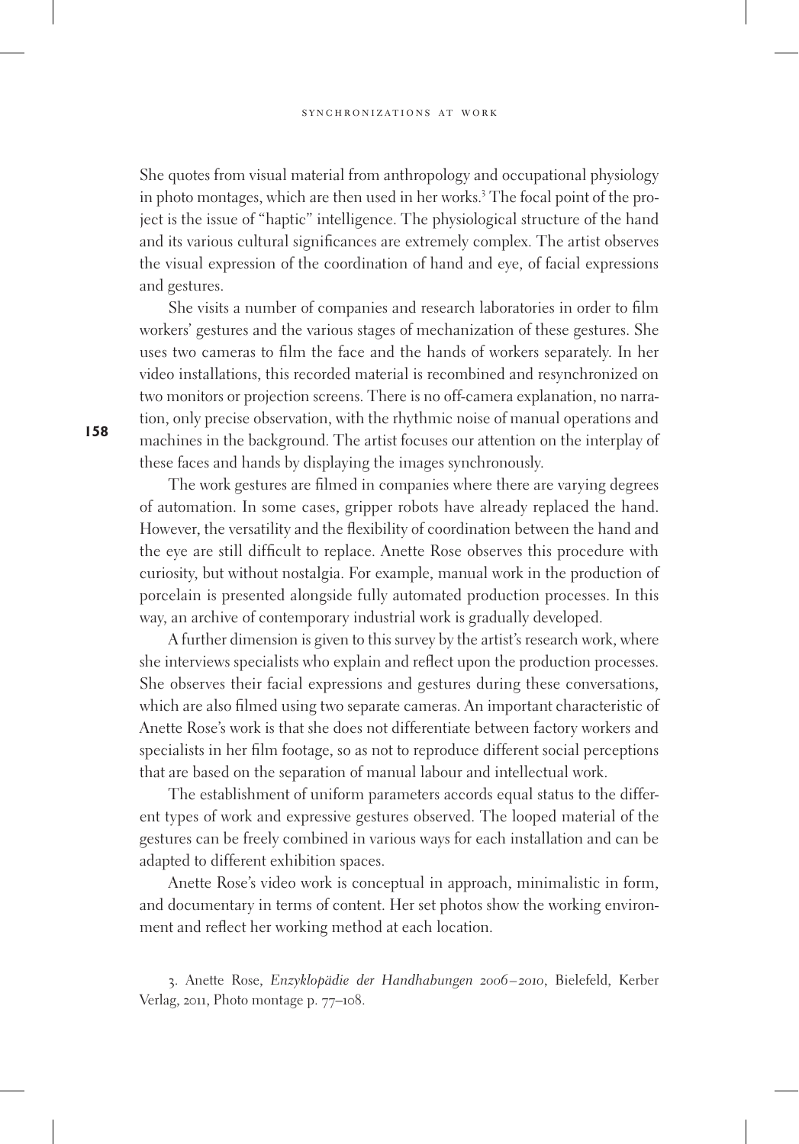She quotes from visual material from anthropology and occupational physiology in photo montages, which are then used in her works.<sup>3</sup> The focal point of the project is the issue of "haptic" intelligence. The physiological structure of the hand and its various cultural significances are extremely complex. The artist observes the visual expression of the coordination of hand and eye, of facial expressions and gestures.

She visits a number of companies and research laboratories in order to film workers' gestures and the various stages of mechanization of these gestures. She uses two cameras to film the face and the hands of workers separately. In her video installations, this recorded material is recombined and resynchronized on two monitors or projection screens. There is no off-camera explanation, no narration, only precise observation, with the rhythmic noise of manual operations and machines in the background. The artist focuses our attention on the interplay of these faces and hands by displaying the images synchronously.

The work gestures are filmed in companies where there are varying degrees of automation. In some cases, gripper robots have already replaced the hand. However, the versatility and the flexibility of coordination between the hand and the eye are still difficult to replace. Anette Rose observes this procedure with curiosity, but without nostalgia. For example, manual work in the production of porcelain is presented alongside fully automated production processes. In this way, an archive of contemporary industrial work is gradually developed.

A further dimension is given to this survey by the artist's research work, where she interviews specialists who explain and reflect upon the production processes. She observes their facial expressions and gestures during these conversations, which are also filmed using two separate cameras. An important characteristic of Anette Rose's work is that she does not differentiate between factory workers and specialists in her film footage, so as not to reproduce different social perceptions that are based on the separation of manual labour and intellectual work.

The establishment of uniform parameters accords equal status to the different types of work and expressive gestures observed. The looped material of the gestures can be freely combined in various ways for each installation and can be adapted to different exhibition spaces.

Anette Rose's video work is conceptual in approach, minimalistic in form, and documentary in terms of content. Her set photos show the working environment and reflect her working method at each location.

3. Anette Rose, *Enzyklopädie der Handhabungen 2006 –2010*, Bielefeld, Kerber Verlag, 2011, Photo montage p. 77–108.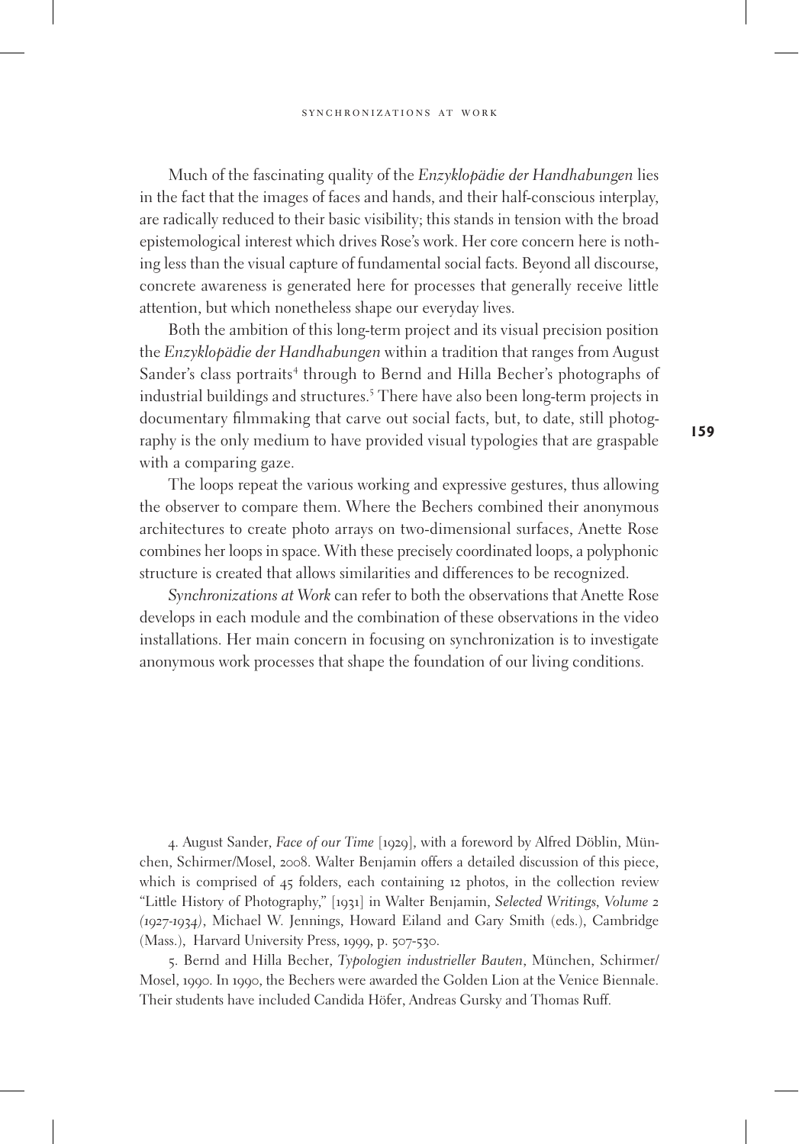Much of the fascinating quality of the *Enzyklopädie der Handhabungen* lies in the fact that the images of faces and hands, and their half-conscious interplay, are radically reduced to their basic visibility; this stands in tension with the broad epistemological interest which drives Rose's work. Her core concern here is nothing less than the visual capture of fundamental social facts. Beyond all discourse, concrete awareness is generated here for processes that generally receive little attention, but which nonetheless shape our everyday lives.

Both the ambition of this long-term project and its visual precision position the *Enzyklopädie der Handhabungen* within a tradition that ranges from August Sander's class portraits<sup>4</sup> through to Bernd and Hilla Becher's photographs of industrial buildings and structures.<sup>5</sup> There have also been long-term projects in documentary filmmaking that carve out social facts, but, to date, still photography is the only medium to have provided visual typologies that are graspable with a comparing gaze.

The loops repeat the various working and expressive gestures, thus allowing the observer to compare them. Where the Bechers combined their anonymous architectures to create photo arrays on two-dimensional surfaces, Anette Rose combines her loops in space. With these precisely coordinated loops, a polyphonic structure is created that allows similarities and differences to be recognized.

*Synchronizations at Work* can refer to both the observations that Anette Rose develops in each module and the combination of these observations in the video installations. Her main concern in focusing on synchronization is to investigate anonymous work processes that shape the foundation of our living conditions.

4. August Sander, *Face of our Time* [1929], with a foreword by Alfred Döblin, München, Schirmer/Mosel, 2008. Walter Benjamin offers a detailed discussion of this piece, which is comprised of 45 folders, each containing 12 photos, in the collection review "Little History of Photography," [1931] in Walter Benjamin, *Selected Writings, Volume 2 (1927-1934)*, Michael W. Jennings, Howard Eiland and Gary Smith (eds.), Cambridge (Mass.), Harvard University Press, 1999, p. 507-530.

5. Bernd and Hilla Becher, *Typologien industrieller Bauten*, München, Schirmer/ Mosel, 1990. In 1990, the Bechers were awarded the Golden Lion at the Venice Biennale. Their students have included Candida Höfer, Andreas Gursky and Thomas Ruff.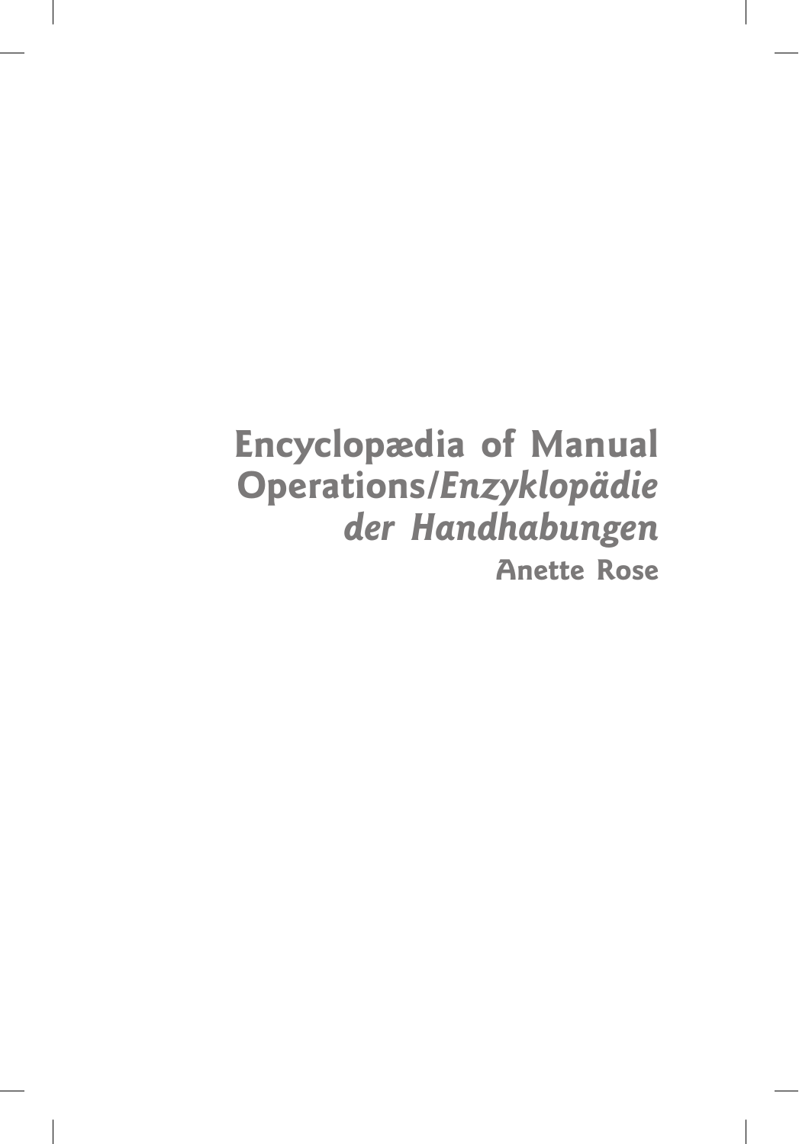# **Encyclopædia of Manual Operations/***Enzyklopädie der Handhabungen* **Anette Rose**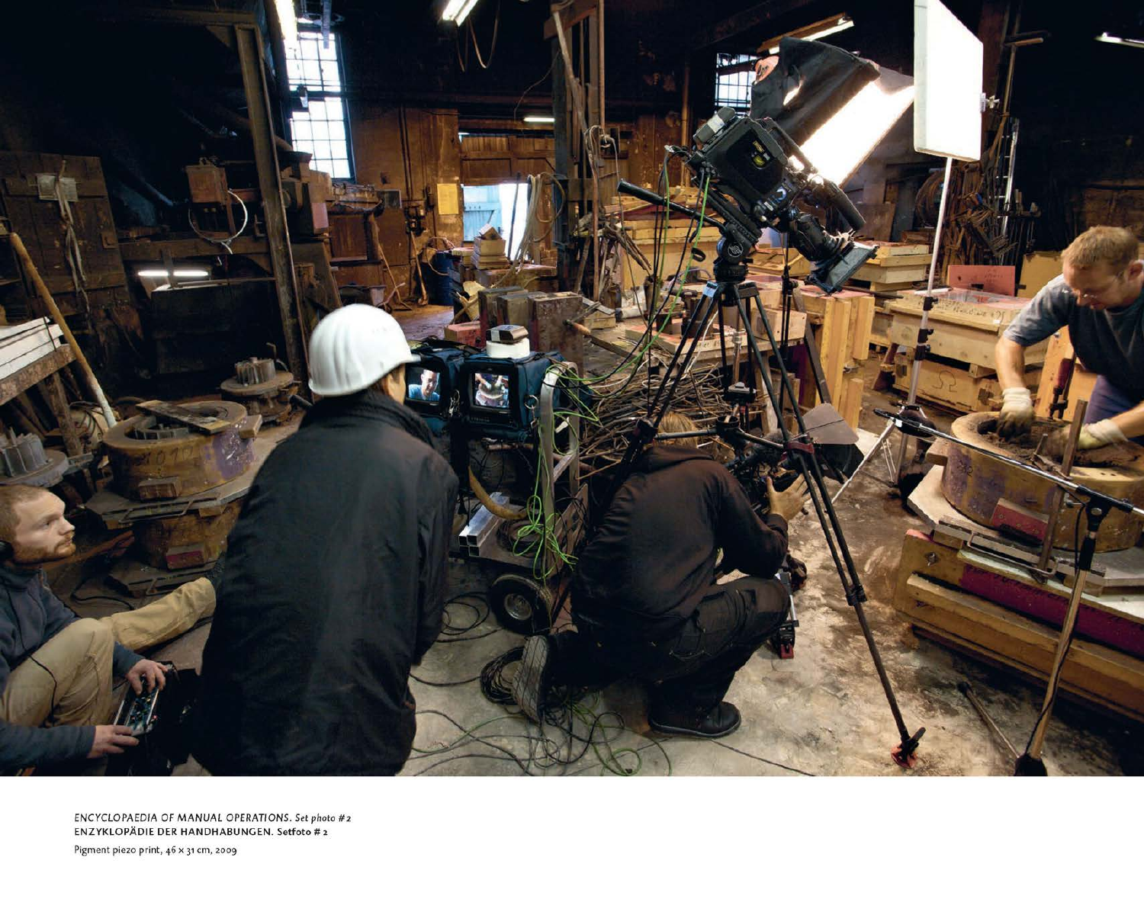

ENCYCLOPAEDIA OF MANUAL OPERATIONS. Set photo #2<br>ENZYKLOPÄDIE DER HANDHABUNGEN. Setfoto #2

Pigment piezo print, 46 x 31 cm, 2009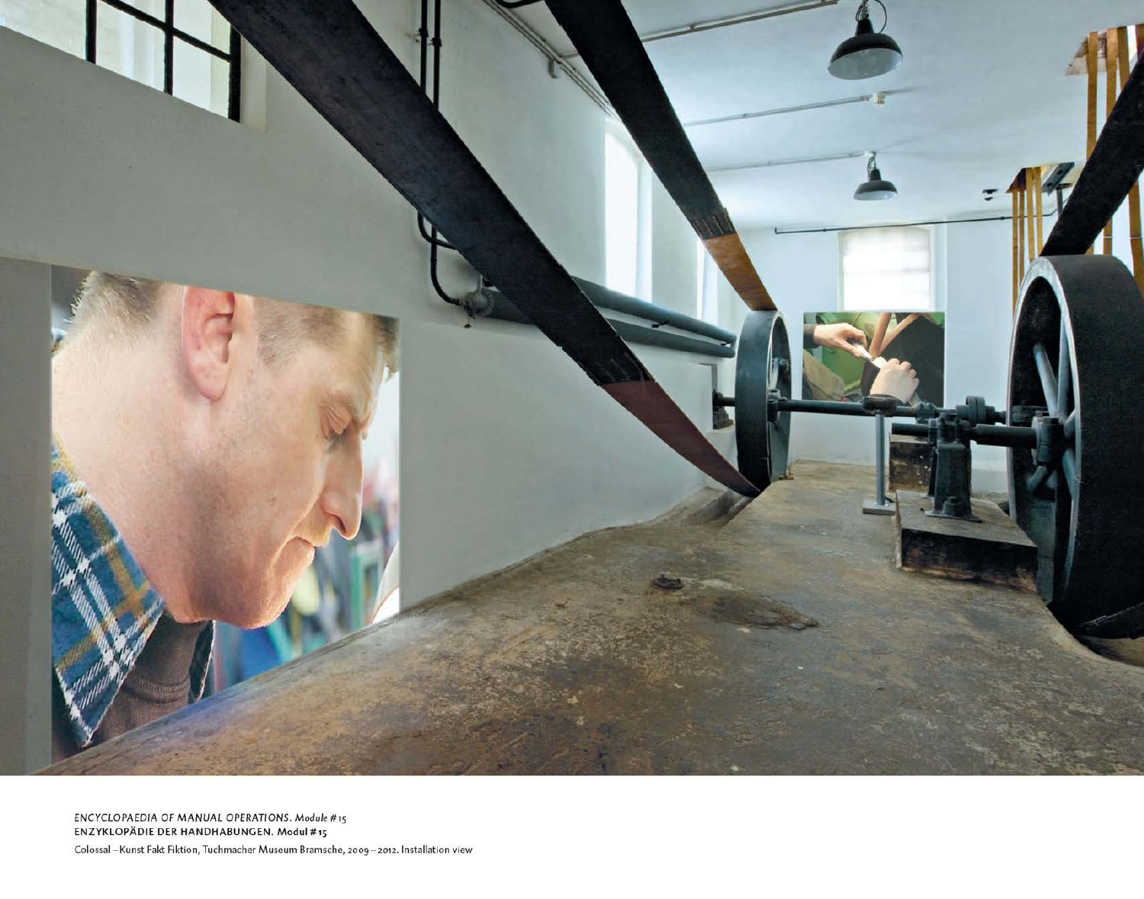

ENCYCLOPAEDIA OF MANUAL OPERATIONS. Module #15<br>ENZYKLOPÄDIE DER HANDHABUNGEN. Modul #15

Colossal-Kunst Fakt Fiktion, Tuchmacher Museum Bramsche, 2009-2012. Installation view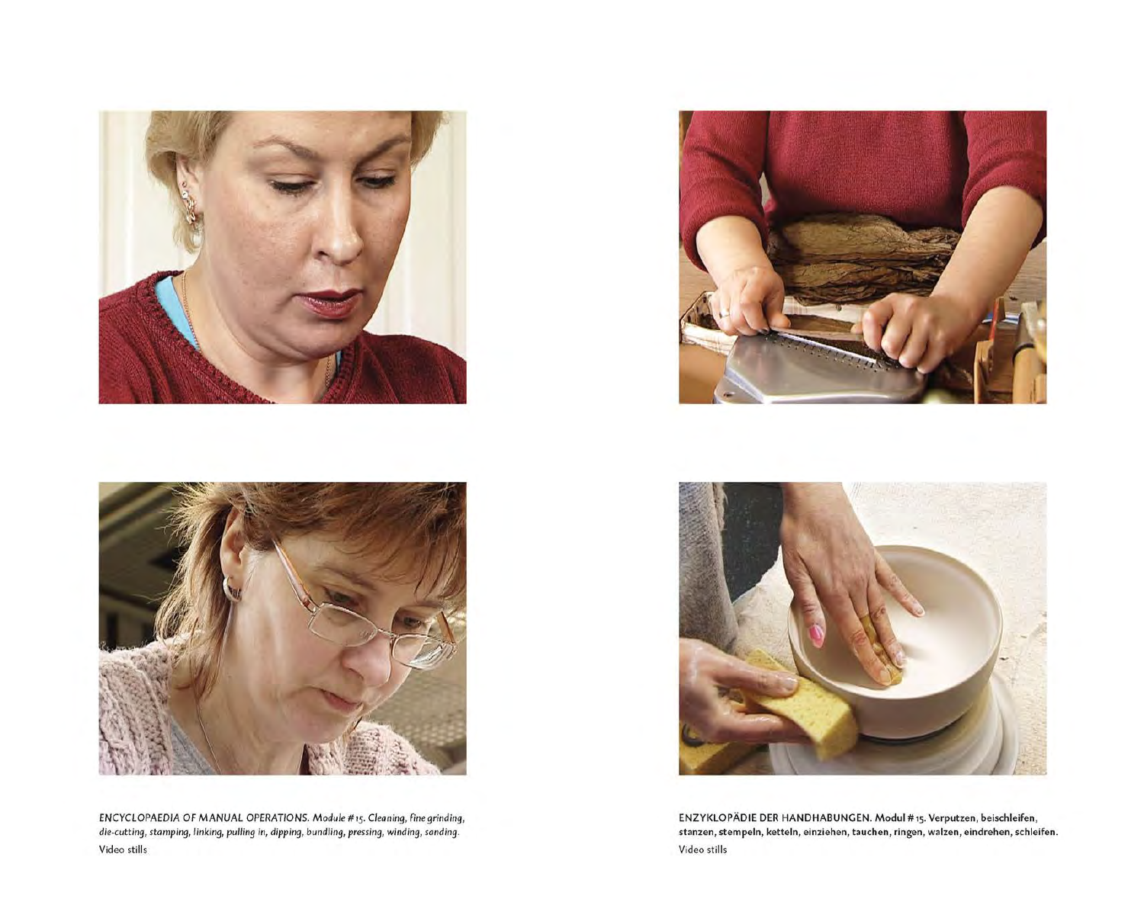



ENCYCLOPAEDIA OF MANUAL OPERATIONS. Module #15. Cleaning, fine grinding, die-cutting, stamping, linking, pulling in, dipping, bundling, pressing, winding, sanding. Video stills





ENZYKLOPÄDIE DER HANDHABUNGEN. Modul #15. Verputzen, beischleifen, stanzen, stempeln, ketteln, einziehen, tauchen, ringen, walzen, eindrehen, schleifen. Video stills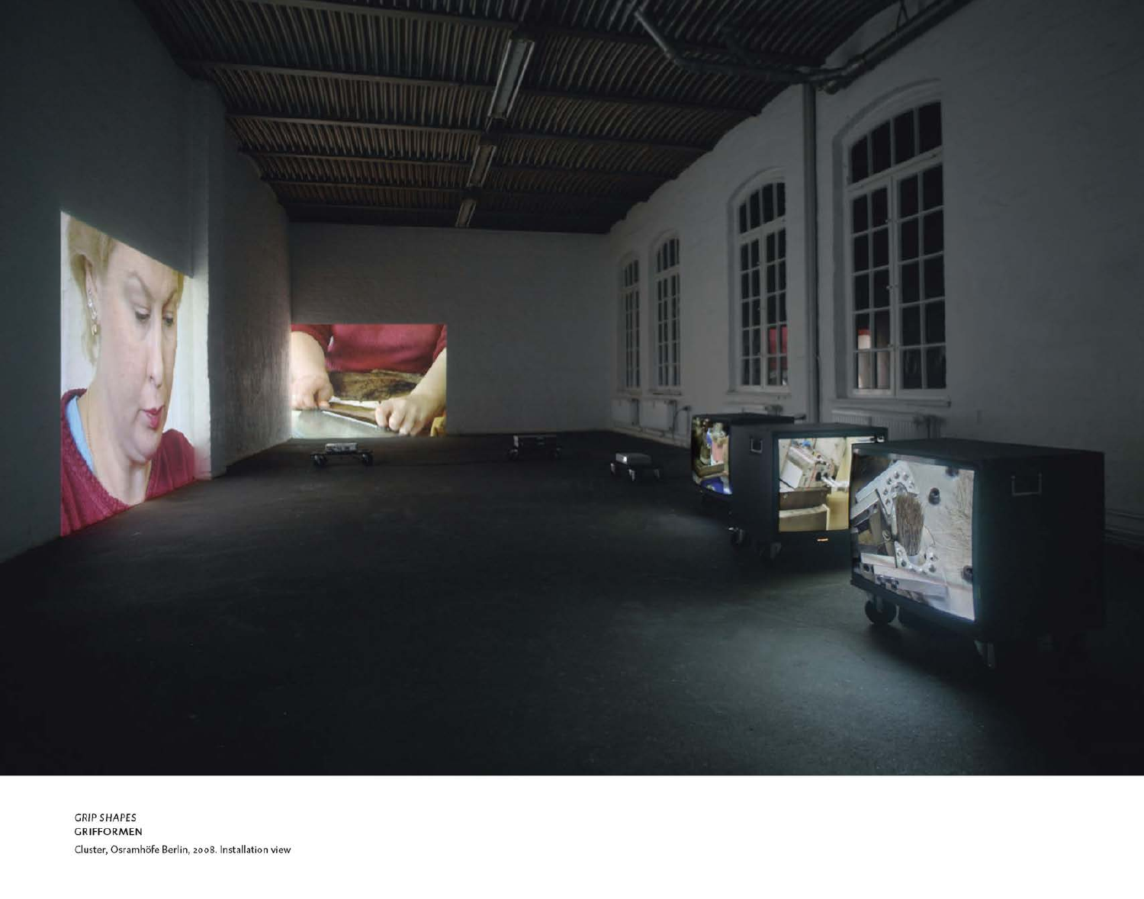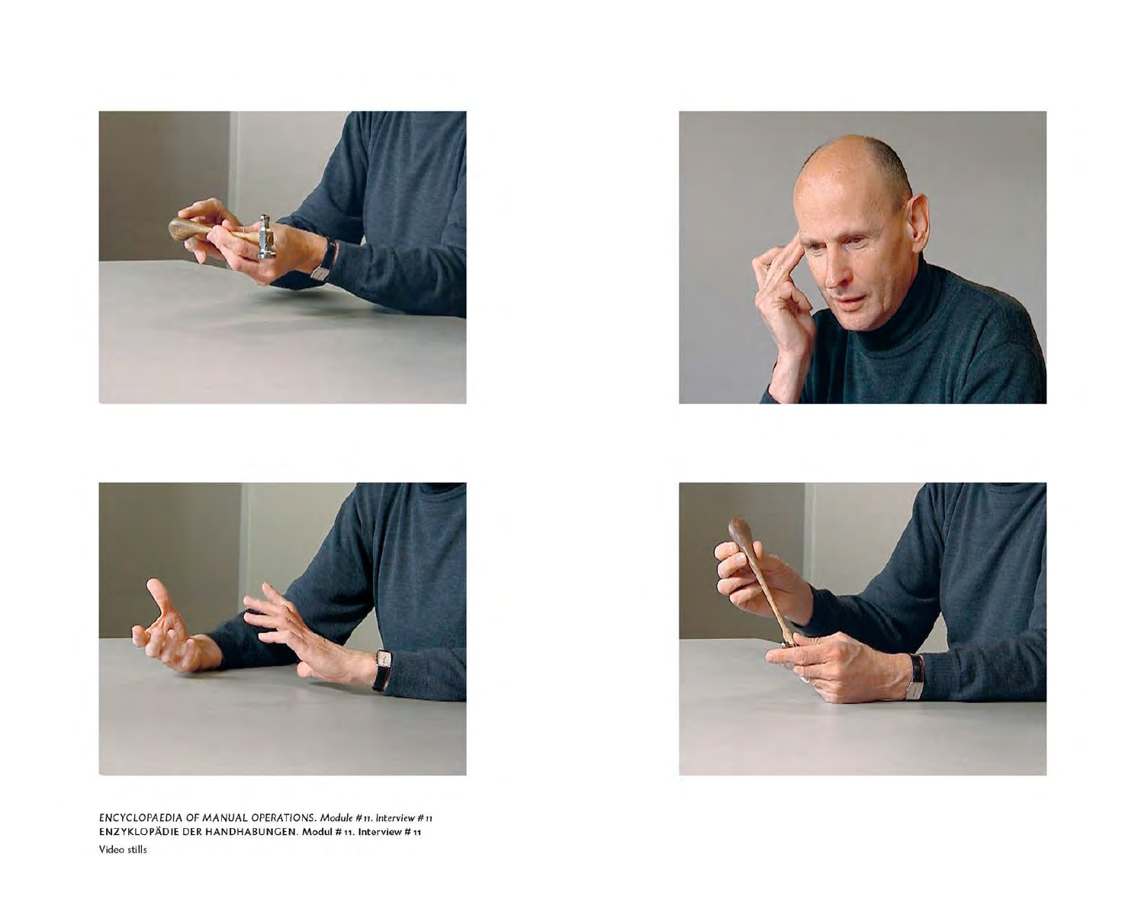



ENCYCLOPAEDIA OF MANUAL OPERATIONS. Module #11. Interview #11 ENZYKLOPÄDIE DER HANDHABUNGEN. Modul #11. Interview #11



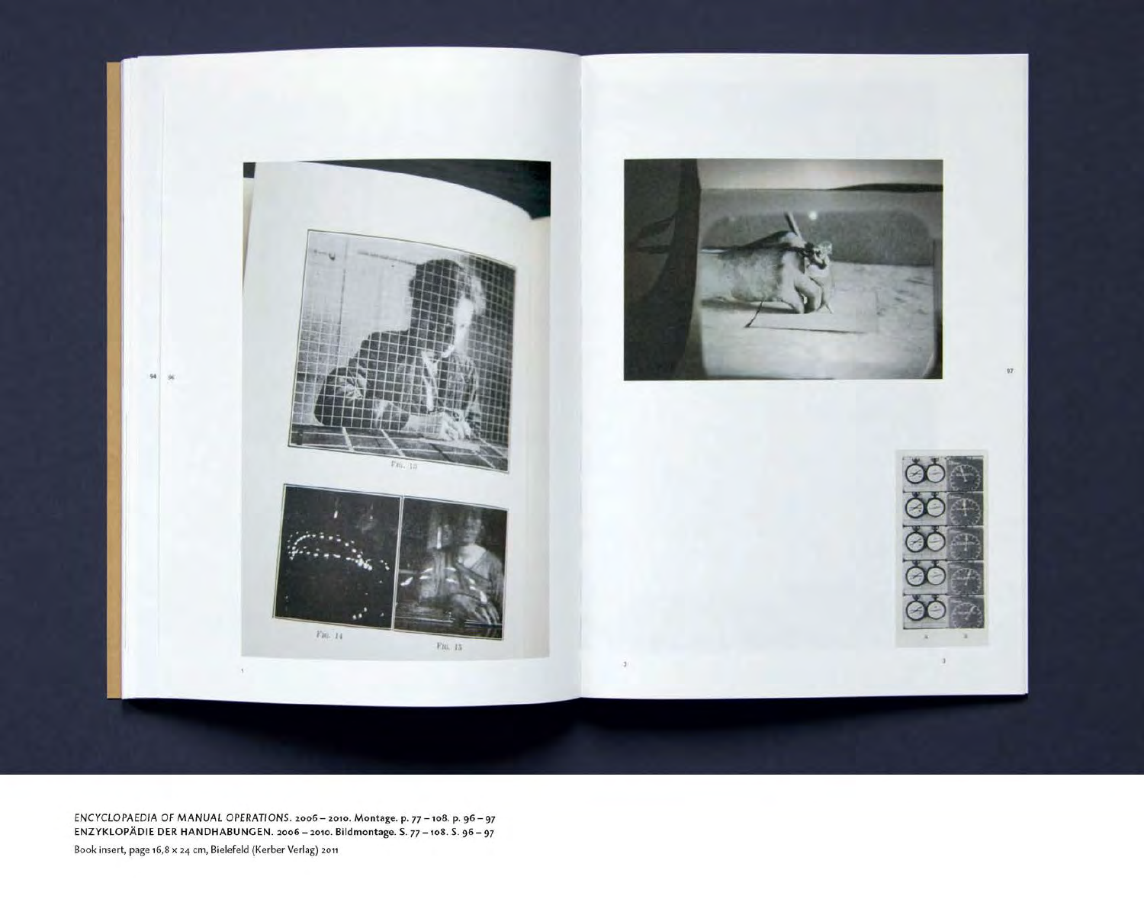

ENCYCLOPAEDIA OF MANUAL OPERATIONS. 2006-2010. Montage. p. 77-108. p. 96-97 ENZYKLOPÄDIE DER HANDHABUNGEN. 2006 - 2010. Bildmontage. S. 77 - 108. S. 96 - 97

Book insert, page 16,8 x 24 cm, Bielefeld (Kerber Verlag) 2011